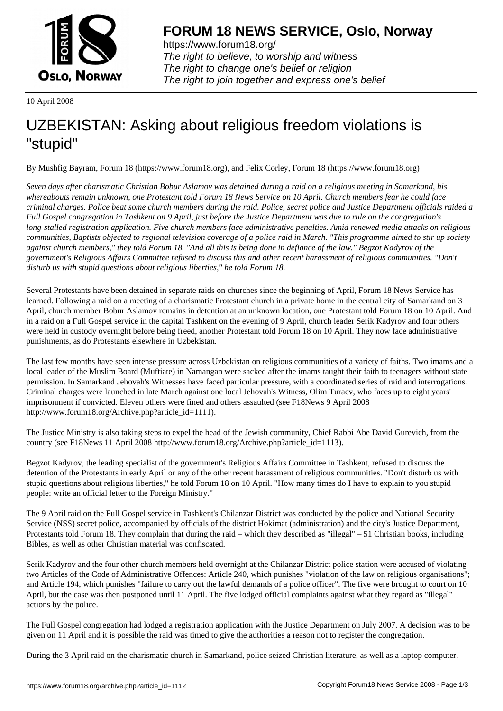

https://www.forum18.org/ The right to believe, to worship and witness The right to change one's belief or religion [The right to join together a](https://www.forum18.org/)nd express one's belief

10 April 2008

## [UZBEKISTAN:](https://www.forum18.org) Asking about religious freedom violations is "stupid"

By Mushfig Bayram, Forum 18 (https://www.forum18.org), and Felix Corley, Forum 18 (https://www.forum18.org)

*Seven days after charismatic Christian Bobur Aslamov was detained during a raid on a religious meeting in Samarkand, his whereabouts remain unknown, one Protestant told Forum 18 News Service on 10 April. Church members fear he could face criminal charges. Police beat some church members during the raid. Police, secret police and Justice Department officials raided a Full Gospel congregation in Tashkent on 9 April, just before the Justice Department was due to rule on the congregation's long-stalled registration application. Five church members face administrative penalties. Amid renewed media attacks on religious communities, Baptists objected to regional television coverage of a police raid in March. "This programme aimed to stir up society against church members," they told Forum 18. "And all this is being done in defiance of the law." Begzot Kadyrov of the government's Religious Affairs Committee refused to discuss this and other recent harassment of religious communities. "Don't disturb us with stupid questions about religious liberties," he told Forum 18.*

Several Protestants have been detained in separate raids on churches since the beginning of April, Forum 18 News Service has learned. Following a raid on a meeting of a charismatic Protestant church in a private home in the central city of Samarkand on 3 April, church member Bobur Aslamov remains in detention at an unknown location, one Protestant told Forum 18 on 10 April. And in a raid on a Full Gospel service in the capital Tashkent on the evening of 9 April, church leader Serik Kadyrov and four others were held in custody overnight before being freed, another Protestant told Forum 18 on 10 April. They now face administrative punishments, as do Protestants elsewhere in Uzbekistan.

The last few months have seen intense pressure across Uzbekistan on religious communities of a variety of faiths. Two imams and a local leader of the Muslim Board (Muftiate) in Namangan were sacked after the imams taught their faith to teenagers without state permission. In Samarkand Jehovah's Witnesses have faced particular pressure, with a coordinated series of raid and interrogations. Criminal charges were launched in late March against one local Jehovah's Witness, Olim Turaev, who faces up to eight years' imprisonment if convicted. Eleven others were fined and others assaulted (see F18News 9 April 2008 http://www.forum18.org/Archive.php?article\_id=1111).

The Justice Ministry is also taking steps to expel the head of the Jewish community, Chief Rabbi Abe David Gurevich, from the country (see F18News 11 April 2008 http://www.forum18.org/Archive.php?article\_id=1113).

Begzot Kadyrov, the leading specialist of the government's Religious Affairs Committee in Tashkent, refused to discuss the detention of the Protestants in early April or any of the other recent harassment of religious communities. "Don't disturb us with stupid questions about religious liberties," he told Forum 18 on 10 April. "How many times do I have to explain to you stupid people: write an official letter to the Foreign Ministry."

The 9 April raid on the Full Gospel service in Tashkent's Chilanzar District was conducted by the police and National Security Service (NSS) secret police, accompanied by officials of the district Hokimat (administration) and the city's Justice Department, Protestants told Forum 18. They complain that during the raid – which they described as "illegal" – 51 Christian books, including Bibles, as well as other Christian material was confiscated.

Serik Kadyrov and the four other church members held overnight at the Chilanzar District police station were accused of violating two Articles of the Code of Administrative Offences: Article 240, which punishes "violation of the law on religious organisations"; and Article 194, which punishes "failure to carry out the lawful demands of a police officer". The five were brought to court on 10 April, but the case was then postponed until 11 April. The five lodged official complaints against what they regard as "illegal" actions by the police.

The Full Gospel congregation had lodged a registration application with the Justice Department on July 2007. A decision was to be given on 11 April and it is possible the raid was timed to give the authorities a reason not to register the congregation.

During the 3 April raid on the charismatic church in Samarkand, police seized Christian literature, as well as a laptop computer,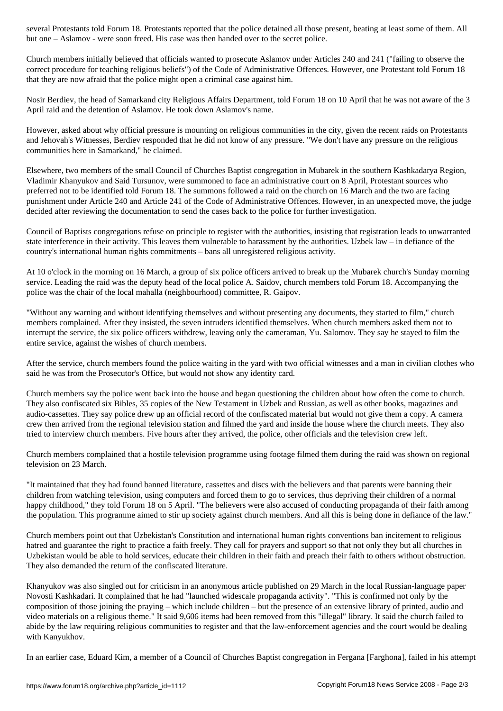Church members initially believed that officials wanted to prosecute Aslamov under Articles 240 and 241 ("failing to observe the correct procedure for teaching religious beliefs") of the Code of Administrative Offences. However, one Protestant told Forum 18 that they are now afraid that the police might open a criminal case against him.

but one – Aslamov - were some soon freed. His case was then handed over the secret police. His case was the sec

Nosir Berdiev, the head of Samarkand city Religious Affairs Department, told Forum 18 on 10 April that he was not aware of the 3 April raid and the detention of Aslamov. He took down Aslamov's name.

However, asked about why official pressure is mounting on religious communities in the city, given the recent raids on Protestants and Jehovah's Witnesses, Berdiev responded that he did not know of any pressure. "We don't have any pressure on the religious communities here in Samarkand," he claimed.

Elsewhere, two members of the small Council of Churches Baptist congregation in Mubarek in the southern Kashkadarya Region, Vladimir Khanyukov and Said Tursunov, were summoned to face an administrative court on 8 April, Protestant sources who preferred not to be identified told Forum 18. The summons followed a raid on the church on 16 March and the two are facing punishment under Article 240 and Article 241 of the Code of Administrative Offences. However, in an unexpected move, the judge decided after reviewing the documentation to send the cases back to the police for further investigation.

Council of Baptists congregations refuse on principle to register with the authorities, insisting that registration leads to unwarranted state interference in their activity. This leaves them vulnerable to harassment by the authorities. Uzbek law – in defiance of the country's international human rights commitments – bans all unregistered religious activity.

At 10 o'clock in the morning on 16 March, a group of six police officers arrived to break up the Mubarek church's Sunday morning service. Leading the raid was the deputy head of the local police A. Saidov, church members told Forum 18. Accompanying the police was the chair of the local mahalla (neighbourhood) committee, R. Gaipov.

"Without any warning and without identifying themselves and without presenting any documents, they started to film," church members complained. After they insisted, the seven intruders identified themselves. When church members asked them not to interrupt the service, the six police officers withdrew, leaving only the cameraman, Yu. Salomov. They say he stayed to film the entire service, against the wishes of church members.

After the service, church members found the police waiting in the yard with two official witnesses and a man in civilian clothes who said he was from the Prosecutor's Office, but would not show any identity card.

Church members say the police went back into the house and began questioning the children about how often the come to church. They also confiscated six Bibles, 35 copies of the New Testament in Uzbek and Russian, as well as other books, magazines and audio-cassettes. They say police drew up an official record of the confiscated material but would not give them a copy. A camera crew then arrived from the regional television station and filmed the yard and inside the house where the church meets. They also tried to interview church members. Five hours after they arrived, the police, other officials and the television crew left.

Church members complained that a hostile television programme using footage filmed them during the raid was shown on regional television on 23 March.

"It maintained that they had found banned literature, cassettes and discs with the believers and that parents were banning their children from watching television, using computers and forced them to go to services, thus depriving their children of a normal happy childhood," they told Forum 18 on 5 April. "The believers were also accused of conducting propaganda of their faith among the population. This programme aimed to stir up society against church members. And all this is being done in defiance of the law."

Church members point out that Uzbekistan's Constitution and international human rights conventions ban incitement to religious hatred and guarantee the right to practice a faith freely. They call for prayers and support so that not only they but all churches in Uzbekistan would be able to hold services, educate their children in their faith and preach their faith to others without obstruction. They also demanded the return of the confiscated literature.

Khanyukov was also singled out for criticism in an anonymous article published on 29 March in the local Russian-language paper Novosti Kashkadari. It complained that he had "launched widescale propaganda activity". "This is confirmed not only by the composition of those joining the praying – which include children – but the presence of an extensive library of printed, audio and video materials on a religious theme." It said 9,606 items had been removed from this "illegal" library. It said the church failed to abide by the law requiring religious communities to register and that the law-enforcement agencies and the court would be dealing with Kanyukhov.

In an earlier case, Eduard Kim, a member of a Council of Churches Baptist congregation in Fergana [Farghona], failed in his attempt